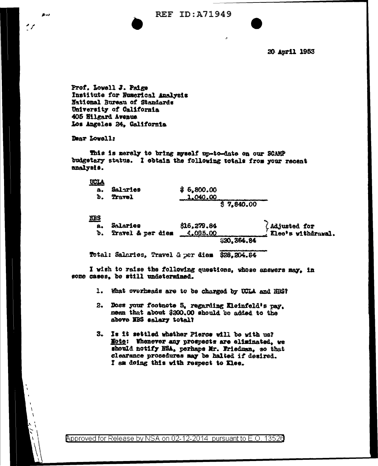**REF ID: A71949** 

20 April 1953

Prof. Lowell J. Paige Institute for Numerical Analysis Mational Bureau of Standards University of California 405 Hilgard Avenue Los Angeles 24, Galifornia

Dear Lowell:

 $2 - 3$ 

This is merely to bring myself up-to-date on our SCAMP budgetary status. I obtain the following totals from your recent analysis.

| <b>UCLA</b> |          |            |
|-------------|----------|------------|
| а.          | Salaries | \$6,800.00 |
| ъ.          | Travel   | 1.040.00   |
|             |          | \$7,840.00 |

**NBS** 

| - -<br>a.<br>ъ. | Salaries<br>Travel & per diem | \$16,279.84<br>$-4,035,00$ | $\ell$ Adjusted for<br>$\sim$ Xlee's withdrawal. |
|-----------------|-------------------------------|----------------------------|--------------------------------------------------|
|                 |                               | S20, 364, 84               |                                                  |

Total: Salaries, Travel & per diem \$28,204.84

I wish to raise the following questions, whose answers may, in some cases, be still undetermined.

- 1. What overheads are to be charged by UCLA and NUS?
- 2. Does your footnote 5, regarding Kleinfeld's pay. mean that about \$200.00 should be added to the above NBS salary total?
- 3. Is it settled whether Pierce will be with us? Hote: Whenever any prospects are eliminated, we should notify NSA, perhaps Mr. Friedman, so that clearance procedures may be halted if desired. I am doing this with respect to Klee.

Approved for Release by NSA on 02-12-2014 pursuant to E.O. 13520